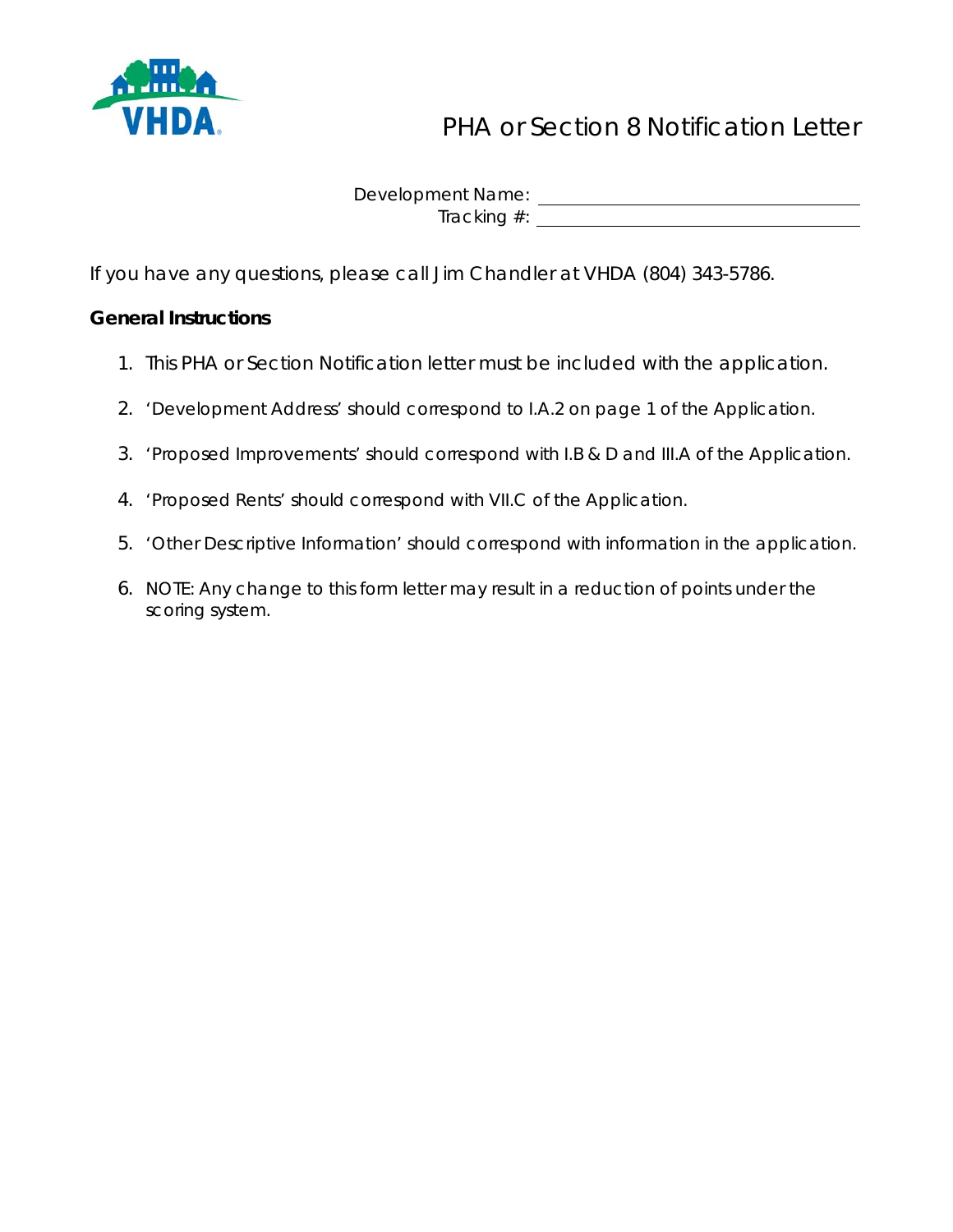

# PHA or Section 8 Notification Letter

Development Name: Tracking #: University of the Contract of the Contract of the Contract of the Contract of the Contract of the Contract of the Contract of the Contract of the Contract of the Contract of the Contract of the Contract of the

If you have any questions, please call Jim Chandler at VHDA (804) 343-5786.

## **General Instructions**

- 1. This PHA or Section Notification letter must be included with the application.
- 2. 'Development Address' should correspond to I.A.2 on page 1 of the Application.
- 3. 'Proposed Improvements' should correspond with I.B & D and III.A of the Application.
- 4. 'Proposed Rents' should correspond with VII.C of the Application.
- 5. 'Other Descriptive Information' should correspond with information in the application.
- 6. NOTE: Any change to this form letter may result in a reduction of points under the scoring system.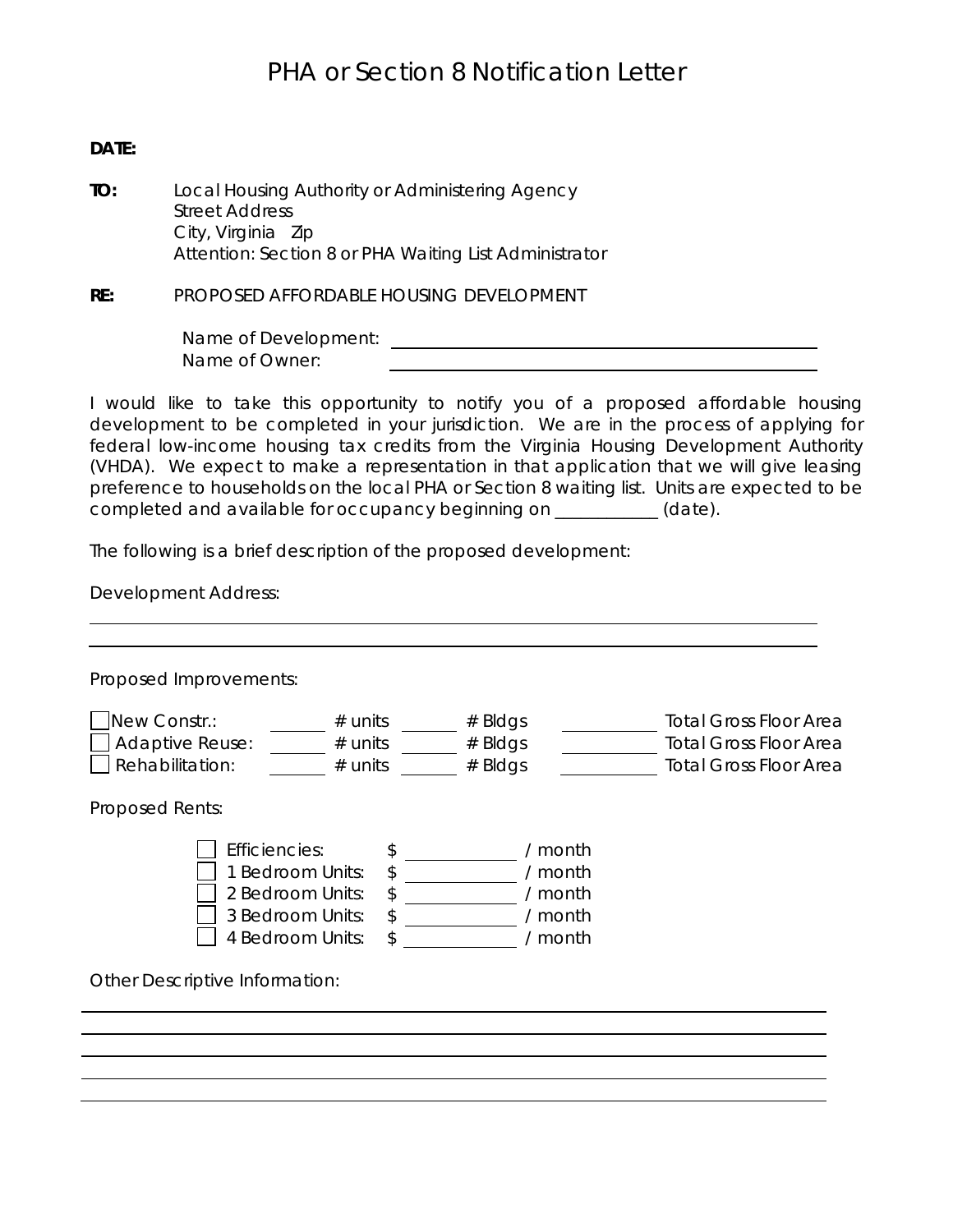## PHA or Section 8 Notification Letter

#### **DATE:**

**TO:** Local Housing Authority or Administering Agency Street Address City, Virginia Zip Attention: Section 8 or PHA Waiting List Administrator

**RE:** PROPOSED AFFORDABLE HOUSING DEVELOPMENT

Name of Development: Name of Owner:

I would like to take this opportunity to notify you of a proposed affordable housing development to be completed in your jurisdiction. We are in the process of applying for federal low-income housing tax credits from the Virginia Housing Development Authority (VHDA). We expect to make a representation in that application that we will give leasing preference to households on the local PHA or Section 8 waiting list. Units are expected to be completed and available for occupancy beginning on \_\_\_\_\_\_\_\_\_\_\_\_ (date).

The following is a brief description of the proposed development:

Development Address:

| New Constr.:<br><b>Adaptive Reuse:</b><br>Rehabilitation: | $#$ units<br>$#$ units<br>$#$ units                                                                                         | $#$ Bldgs<br>$#$ Bldgs<br>$#$ Bldgs                 | <b>Total Gross Floor Area</b><br><b>Total Gross Floor Area</b><br><b>Total Gross Floor Area</b> |
|-----------------------------------------------------------|-----------------------------------------------------------------------------------------------------------------------------|-----------------------------------------------------|-------------------------------------------------------------------------------------------------|
| Proposed Rents:                                           |                                                                                                                             |                                                     |                                                                                                 |
|                                                           | Efficiencies:<br>\$<br>\$<br>1 Bedroom Units:<br>2 Bedroom Units:<br>\$<br>\$<br>3 Bedroom Units:<br>\$<br>4 Bedroom Units: | / month<br>/ month<br>/ month<br>/ month<br>/ month |                                                                                                 |
| Other Descriptive Information:                            |                                                                                                                             |                                                     |                                                                                                 |